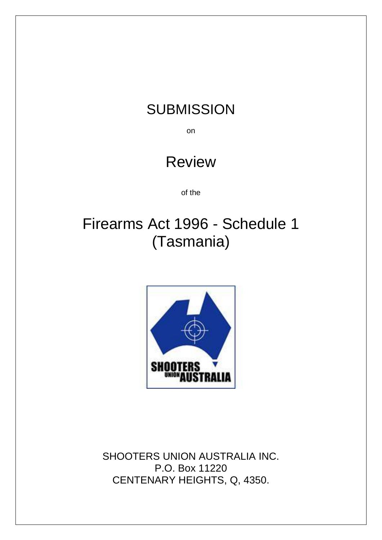## **SUBMISSION**

on

## Review

of the

# Firearms Act 1996 - Schedule 1 (Tasmania)



SHOOTERS UNION AUSTRALIA INC. P.O. Box 11220 CENTENARY HEIGHTS, Q, 4350.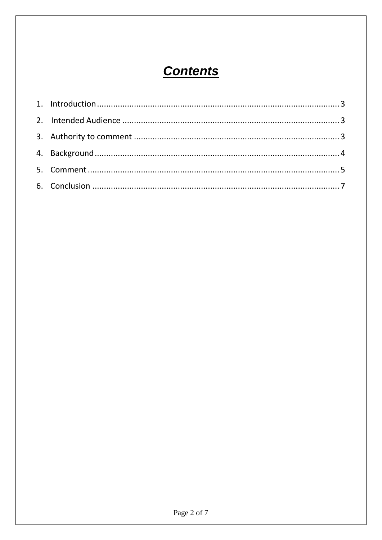### **Contents**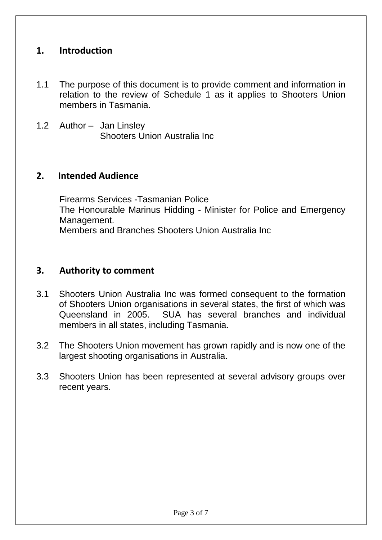### <span id="page-2-0"></span>**1. Introduction**

- 1.1 The purpose of this document is to provide comment and information in relation to the review of Schedule 1 as it applies to Shooters Union members in Tasmania.
- 1.2 Author Jan Linsley Shooters Union Australia Inc

#### <span id="page-2-1"></span>**2. Intended Audience**

Firearms Services -Tasmanian Police The Honourable Marinus Hidding - Minister for Police and Emergency Management. Members and Branches Shooters Union Australia Inc

#### <span id="page-2-2"></span>**3. Authority to comment**

- 3.1 Shooters Union Australia Inc was formed consequent to the formation of Shooters Union organisations in several states, the first of which was Queensland in 2005. SUA has several branches and individual members in all states, including Tasmania.
- 3.2 The Shooters Union movement has grown rapidly and is now one of the largest shooting organisations in Australia.
- 3.3 Shooters Union has been represented at several advisory groups over recent years.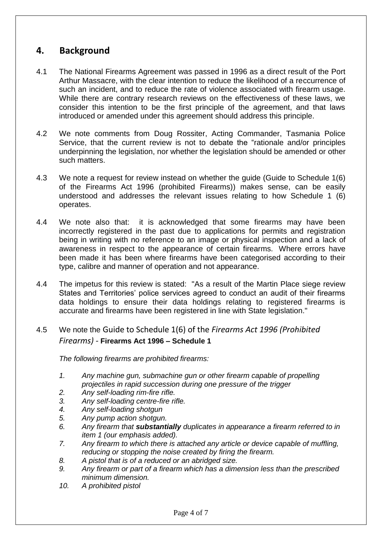### <span id="page-3-0"></span>**4. Background**

- 4.1 The National Firearms Agreement was passed in 1996 as a direct result of the Port Arthur Massacre, with the clear intention to reduce the likelihood of a reccurrence of such an incident, and to reduce the rate of violence associated with firearm usage. While there are contrary research reviews on the effectiveness of these laws, we consider this intention to be the first principle of the agreement, and that laws introduced or amended under this agreement should address this principle.
- 4.2 We note comments from Doug Rossiter, Acting Commander, Tasmania Police Service, that the current review is not to debate the "rationale and/or principles underpinning the legislation, nor whether the legislation should be amended or other such matters.
- 4.3 We note a request for review instead on whether the guide (Guide to Schedule 1(6) of the Firearms Act 1996 (prohibited Firearms)) makes sense, can be easily understood and addresses the relevant issues relating to how Schedule 1 (6) operates.
- 4.4 We note also that: it is acknowledged that some firearms may have been incorrectly registered in the past due to applications for permits and registration being in writing with no reference to an image or physical inspection and a lack of awareness in respect to the appearance of certain firearms. Where errors have been made it has been where firearms have been categorised according to their type, calibre and manner of operation and not appearance.
- 4.4 The impetus for this review is stated: "As a result of the Martin Place siege review States and Territories' police services agreed to conduct an audit of their firearms data holdings to ensure their data holdings relating to registered firearms is accurate and firearms have been registered in line with State legislation."

#### 4.5 We note the Guide to Schedule 1(6) of the *Firearms Act 1996 (Prohibited Firearms) -* **Firearms Act 1996 – Schedule 1**

*The following firearms are prohibited firearms:*

- *1. Any machine gun, submachine gun or other firearm capable of propelling projectiles in rapid succession during one pressure of the trigger*
- *2. Any self-loading rim-fire rifle.*
- *3. Any self-loading centre-fire rifle.*
- *4. Any self-loading shotgun*
- *5. Any pump action shotgun.*
- *6. Any firearm that substantially duplicates in appearance a firearm referred to in item 1 (our emphasis added).*
- *7. Any firearm to which there is attached any article or device capable of muffling, reducing or stopping the noise created by firing the firearm.*
- *8. A pistol that is of a reduced or an abridged size.*
- *9. Any firearm or part of a firearm which has a dimension less than the prescribed minimum dimension.*
- *10. A prohibited pistol*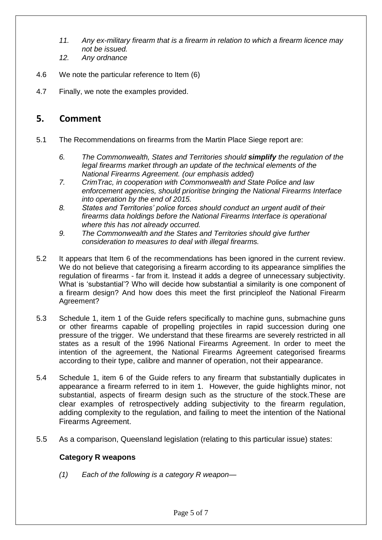- *11. Any ex-military firearm that is a firearm in relation to which a firearm licence may not be issued.*
- *12. Any ordnance*
- 4.6 We note the particular reference to Item (6)
- 4.7 Finally, we note the examples provided.

#### <span id="page-4-0"></span>**5. Comment**

- 5.1 The Recommendations on firearms from the Martin Place Siege report are:
	- *6. The Commonwealth, States and Territories should simplify the regulation of the legal firearms market through an update of the technical elements of the National Firearms Agreement. (our emphasis added)*
	- *7. CrimTrac, in cooperation with Commonwealth and State Police and law enforcement agencies, should prioritise bringing the National Firearms Interface into operation by the end of 2015.*
	- *8. States and Territories' police forces should conduct an urgent audit of their firearms data holdings before the National Firearms Interface is operational where this has not already occurred.*
	- *9. The Commonwealth and the States and Territories should give further consideration to measures to deal with illegal firearms.*
- 5.2 It appears that Item 6 of the recommendations has been ignored in the current review. We do not believe that categorising a firearm according to its appearance simplifies the regulation of firearms - far from it. Instead it adds a degree of unnecessary subjectivity. What is 'substantial'? Who will decide how substantial a similarity is one component of a firearm design? And how does this meet the first principleof the National Firearm Agreement?
- 5.3 Schedule 1, item 1 of the Guide refers specifically to machine guns, submachine guns or other firearms capable of propelling projectiles in rapid succession during one pressure of the trigger. We understand that these firearms are severely restricted in all states as a result of the 1996 National Firearms Agreement. In order to meet the intention of the agreement, the National Firearms Agreement categorised firearms according to their type, calibre and manner of operation, not their appearance.
- 5.4 Schedule 1, item 6 of the Guide refers to any firearm that substantially duplicates in appearance a firearm referred to in item 1. However, the guide highlights minor, not substantial, aspects of firearm design such as the structure of the stock.These are clear examples of retrospectively adding subjectivity to the firearm regulation, adding complexity to the regulation, and failing to meet the intention of the National Firearms Agreement.
- 5.5 As a comparison, Queensland legislation (relating to this particular issue) states:

#### **Category R weapons**

*(1) Each of the following is a category R weapon—*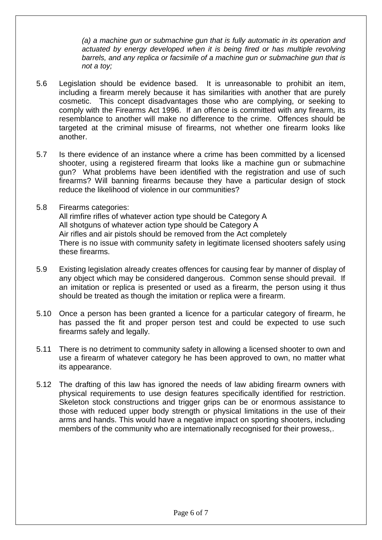*(a) a machine gun or submachine gun that is fully automatic in its operation and*  actuated by energy developed when it is being fired or has multiple revolving *barrels, and any replica or facsimile of a machine gun or submachine gun that is not a toy;*

- 5.6 Legislation should be evidence based. It is unreasonable to prohibit an item, including a firearm merely because it has similarities with another that are purely cosmetic. This concept disadvantages those who are complying, or seeking to comply with the Firearms Act 1996. If an offence is committed with any firearm, its resemblance to another will make no difference to the crime. Offences should be targeted at the criminal misuse of firearms, not whether one firearm looks like another.
- 5.7 Is there evidence of an instance where a crime has been committed by a licensed shooter, using a registered firearm that looks like a machine gun or submachine gun? What problems have been identified with the registration and use of such firearms? Will banning firearms because they have a particular design of stock reduce the likelihood of violence in our communities?
- 5.8 Firearms categories: All rimfire rifles of whatever action type should be Category A All shotguns of whatever action type should be Category A Air rifles and air pistols should be removed from the Act completely There is no issue with community safety in legitimate licensed shooters safely using these firearms.
- 5.9 Existing legislation already creates offences for causing fear by manner of display of any object which may be considered dangerous. Common sense should prevail. If an imitation or replica is presented or used as a firearm, the person using it thus should be treated as though the imitation or replica were a firearm.
- 5.10 Once a person has been granted a licence for a particular category of firearm, he has passed the fit and proper person test and could be expected to use such firearms safely and legally.
- 5.11 There is no detriment to community safety in allowing a licensed shooter to own and use a firearm of whatever category he has been approved to own, no matter what its appearance.
- 5.12 The drafting of this law has ignored the needs of law abiding firearm owners with physical requirements to use design features specifically identified for restriction. Skeleton stock constructions and trigger grips can be or enormous assistance to those with reduced upper body strength or physical limitations in the use of their arms and hands. This would have a negative impact on sporting shooters, including members of the community who are internationally recognised for their prowess,.